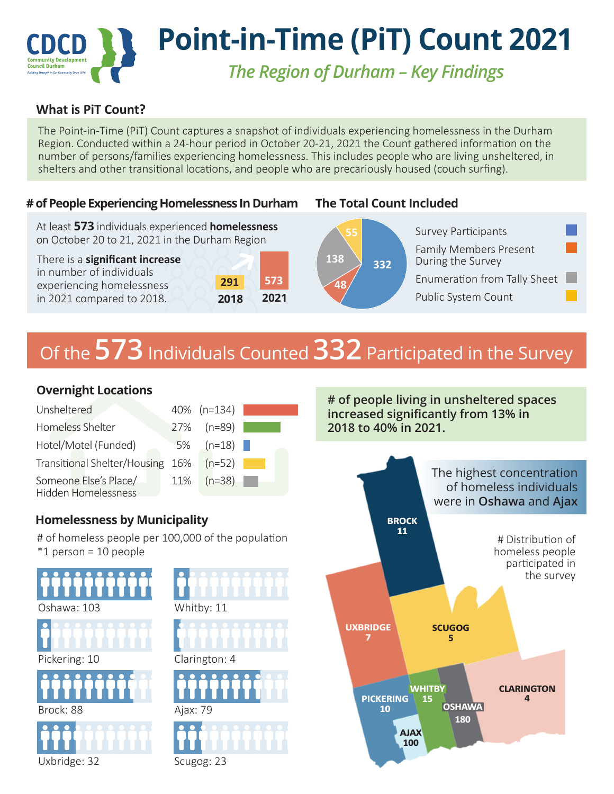# **Point-in-Time (PiT) Count 2021 Council Durham** *The Region of Durham – Key Findings*

## **What is PiT Count?**

The Point-in-Time (PiT) Count captures a snapshot of individuals experiencing homelessness in the Durham Region. Conducted within a 24-hour period in October 20-21, 2021 the Count gathered information on the number of persons/families experiencing homelessness. This includes people who are living unsheltered, in shelters and other transitional locations, and people who are precariously housed (couch surfing).

#### **# of People Experiencing Homelessness In Durham**

At least **573** individuals experienced **homelessness** on October 20 to 21, 2021 in the Durham Region

There is a **significant increase** in number of individuals experiencing homelessness in 2021 compared to 2018.



### **The Total Count Included**



# Of the **573** Individuals Counted **332** Participated in the Survey

**138**

**48**

| Unsheltered                                         | 40% (n=134)   |  |
|-----------------------------------------------------|---------------|--|
| Homeless Shelter                                    | 27% (n=89)    |  |
| Hotel/Motel (Funded)                                | $5\%$ (n=18)  |  |
| Transitional Shelter/Housing 16% (n=52)             |               |  |
| Someone Else's Place/<br><b>Hidden Homelessness</b> | $11\%$ (n=38) |  |

# **Overnight Locations 1998 2008 2009 2009 2009 # of people living in unsheltered spaces increased significantly from 13% in 2018 to 40% in 2021.**



## **Homelessness by Municipality**

# of homeless people per 100,000 of the population \*1 person = 10 people



Scugog: 23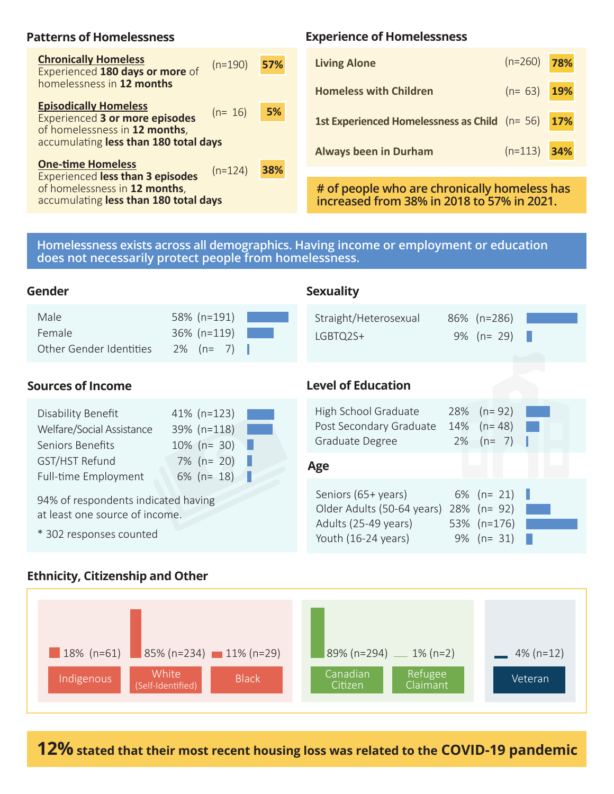#### **Patterns of Homelessness**

| <b>Chronically Homeless</b><br>Experienced 180 days or more of<br>homelessness in 12 months                                                     | $(n=190)$ | 57% |
|-------------------------------------------------------------------------------------------------------------------------------------------------|-----------|-----|
| <b>Episodically Homeless</b><br><b>Experienced 3 or more episodes</b><br>of homelessness in 12 months,<br>accumulating less than 180 total days | $(n=16)$  | 5%  |
| <b>One-time Homeless</b><br><b>Experienced less than 3 episodes</b><br>of homelessness in 12 months,<br>accumulating less than 180 total days   | $(n=124)$ | 38% |

#### **Experience of Homelessness**

| $(n=190)$ | 57% | <b>Living Alone</b>                                | $(n=260)$ 78% |  |
|-----------|-----|----------------------------------------------------|---------------|--|
|           |     | <b>Homeless with Children</b>                      | $(n=63)$ 19%  |  |
| $(n=16)$  | 5%  | 1st Experienced Homelessness as Child $(n=56)$ 17% |               |  |
| ys        |     | <b>Always been in Durham</b>                       | $(n=113)$ 34% |  |

**# of people who are chronically homeless has increased from 38% in 2018 to 57% in 2021.**

Older Adults (50-64 years) 28% (n= 92) Adults (25-49 years) 53% (n=176) Youth (16-24 years) 9% (n= 31)

**Homelessness exists across all demographics. Having income or employment or education does not necessarily protect people from homelessness.**

| Gender                                                              |                                                       | <b>Sexuality</b>                                                   |                                                    |
|---------------------------------------------------------------------|-------------------------------------------------------|--------------------------------------------------------------------|----------------------------------------------------|
| Male<br>Female<br><b>Other Gender Identities</b>                    | 58% (n=191)<br>$36\%$ (n=119)<br>$2\%$ (n= 7)         | Straight/Heterosexual<br>LGBTQ2S+                                  | 86% (n=286)<br>$9\%$ (n= 29)                       |
| <b>Sources of Income</b>                                            |                                                       | <b>Level of Education</b>                                          |                                                    |
| Disability Benefit<br>Welfare/Social Assistance<br>Seniors Benefits | $41\%$ (n=123)<br>39% (n=118)<br>$10\%$ (n= 30)<br>ND | High School Graduate<br>Post Secondary Graduate<br>Graduate Degree | 28% $(n=92)$<br>14% $(n=48)$<br>n.<br>$2\%$ (n= 7) |
| GST/HST Refund<br>Full-time Employment                              | $7\%$ (n= 20)<br>$6\%$ (n= 18)                        | Age                                                                |                                                    |
| 01% of recoondents indicated having                                 |                                                       | Seniors (65+ years)                                                | 6% ( $n = 21$ )                                    |

94% of respondents indicated having at least one source of income.

\* 302 responses counted

#### **Ethnicity, Citizenship and Other**



**12% stated that their most recent housing loss was related to the COVID-19 pandemic**